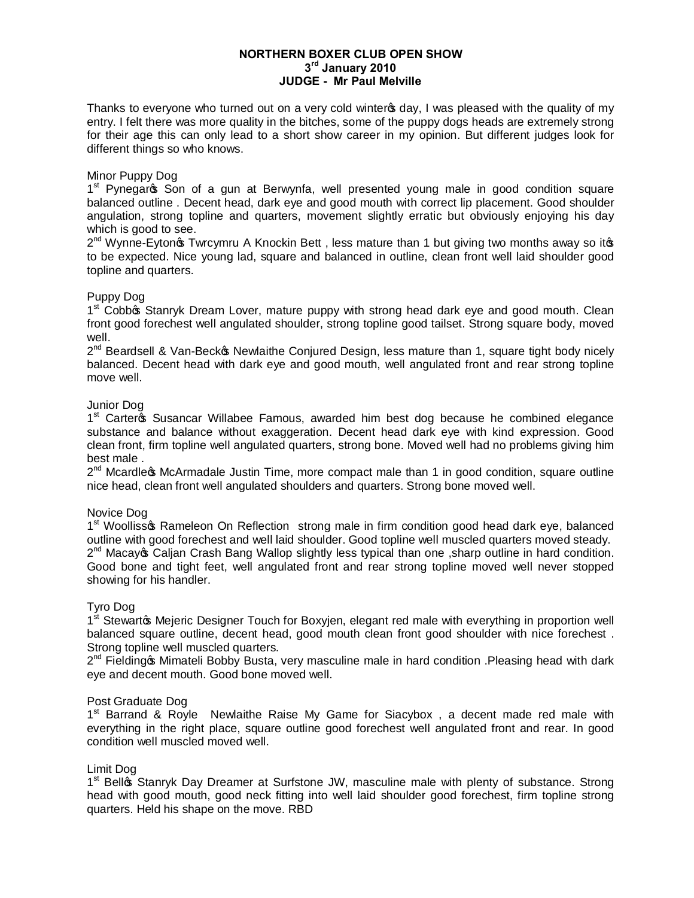## **NORTHERN BOXER CLUB OPEN SHOW 3rd January 2010 JUDGE - Mr Paul Melville**

Thanks to everyone who turned out on a very cold winter  $\phi$  ay, I was pleased with the quality of my entry. I felt there was more quality in the bitches, some of the puppy dogs heads are extremely strong for their age this can only lead to a short show career in my opinion. But different judges look for different things so who knows.

### Minor Puppy Dog

1<sup>st</sup> Pynegarc<sub>s</sub> Son of a gun at Berwynfa, well presented young male in good condition square balanced outline . Decent head, dark eye and good mouth with correct lip placement. Good shoulder angulation, strong topline and quarters, movement slightly erratic but obviously enjoying his day which is good to see.

 $2^{nd}$  Wynne-Eyton  $\oint$  Twrcymru A Knockin Bett, less mature than 1 but giving two months away so it $\oint$ to be expected. Nice young lad, square and balanced in outline, clean front well laid shoulder good topline and quarters.

## Puppy Dog

 $1<sup>st</sup>$  Cobbo Stanryk Dream Lover, mature puppy with strong head dark eye and good mouth. Clean front good forechest well angulated shoulder, strong topline good tailset. Strong square body, moved well.

 $2^{nd}$  Beardsell & Van-Beck $\infty$  Newlaithe Conjured Design, less mature than 1, square tight body nicely balanced. Decent head with dark eye and good mouth, well angulated front and rear strong topline move well.

## Junior Dog

 $1<sup>st</sup>$  Cartergs Susancar Willabee Famous, awarded him best dog because he combined elegance substance and balance without exaggeration. Decent head dark eye with kind expression. Good clean front, firm topline well angulated quarters, strong bone. Moved well had no problems giving him best male .

 $2^{nd}$  Mcardle  $\infty$  McArmadale Justin Time, more compact male than 1 in good condition, square outline nice head, clean front well angulated shoulders and quarters. Strong bone moved well.

#### Novice Dog

1<sup>st</sup> Woollisso Rameleon On Reflection strong male in firm condition good head dark eye, balanced outline with good forechest and well laid shoulder. Good topline well muscled quarters moved steady.  $2^{nd}$  Macay  $\infty$  Caljan Crash Bang Wallop slightly less typical than one , sharp outline in hard condition. Good bone and tight feet, well angulated front and rear strong topline moved well never stopped showing for his handler.

#### Tyro Dog

 $1<sup>st</sup>$  Stewartos Mejeric Designer Touch for Boxyjen, elegant red male with everything in proportion well balanced square outline, decent head, good mouth clean front good shoulder with nice forechest . Strong topline well muscled quarters.

 $2^{nd}$  Fielding  $\alpha$  Mimateli Bobby Busta, very masculine male in hard condition . Pleasing head with dark eye and decent mouth. Good bone moved well.

#### Post Graduate Dog

 $1<sup>st</sup>$  Barrand & Royle Newlaithe Raise My Game for Siacybox, a decent made red male with everything in the right place, square outline good forechest well angulated front and rear. In good condition well muscled moved well.

### Limit Dog

1<sup>st</sup> Bellos Stanryk Day Dreamer at Surfstone JW, masculine male with plenty of substance. Strong head with good mouth, good neck fitting into well laid shoulder good forechest, firm topline strong quarters. Held his shape on the move. RBD